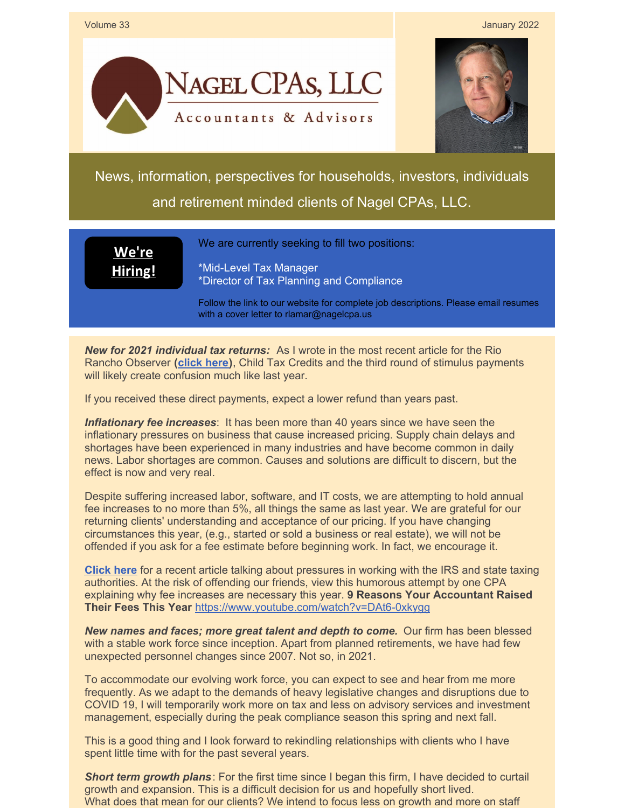

## Volume 33 January 2022





News, information, perspectives for households, investors, individuals and retirement minded clients of Nagel CPAs, LLC.

**We're [Hiring!](https://www.nagelcpa.us/employment.php)** We are currently seeking to fill two positions:

\*Mid-Level Tax Manager \*Director of Tax Planning and Compliance

Follow the link to our website for complete job descriptions. Please email resumes with a cover letter to rlamar@nagelcpa.us

*New for 2021 individual tax returns:* As I wrote in the most recent article for the Rio Rancho Observer **[\(click](https://files.constantcontact.com/ad36e42d701/174af74c-70f8-4070-9551-0f61dc3e4ab8.pdf) here)**, Child Tax Credits and the third round of stimulus payments will likely create confusion much like last year.

If you received these direct payments, expect a lower refund than years past.

*Inflationary fee increases*: It has been more than 40 years since we have seen the inflationary pressures on business that cause increased pricing. Supply chain delays and shortages have been experienced in many industries and have become common in daily news. Labor shortages are common. Causes and solutions are difficult to discern, but the effect is now and very real.

Despite suffering increased labor, software, and IT costs, we are attempting to hold annual fee increases to no more than 5%, all things the same as last year. We are grateful for our returning clients' understanding and acceptance of our pricing. If you have changing circumstances this year, (e.g., started or sold a business or real estate), we will not be offended if you ask for a fee estimate before beginning work. In fact, we encourage it.

**[Click](https://files.constantcontact.com/ad36e42d701/920f7c77-2ceb-4926-814a-5af81c942c85.pdf) here** for a recent article talking about pressures in working with the IRS and state taxing authorities. At the risk of offending our friends, view this humorous attempt by one CPA explaining why fee increases are necessary this year. **9 Reasons Your Accountant Raised Their Fees This Year** <https://www.youtube.com/watch?v=DAt6-0xkygg>

*New names and faces; more great talent and depth to come.* Our firm has been blessed with a stable work force since inception. Apart from planned retirements, we have had few unexpected personnel changes since 2007. Not so, in 2021.

To accommodate our evolving work force, you can expect to see and hear from me more frequently. As we adapt to the demands of heavy legislative changes and disruptions due to COVID 19, I will temporarily work more on tax and less on advisory services and investment management, especially during the peak compliance season this spring and next fall.

This is a good thing and I look forward to rekindling relationships with clients who I have spent little time with for the past several years.

*Short term growth plans*: For the first time since I began this firm, I have decided to curtail growth and expansion. This is a difficult decision for us and hopefully short lived. What does that mean for our clients? We intend to focus less on growth and more on staff